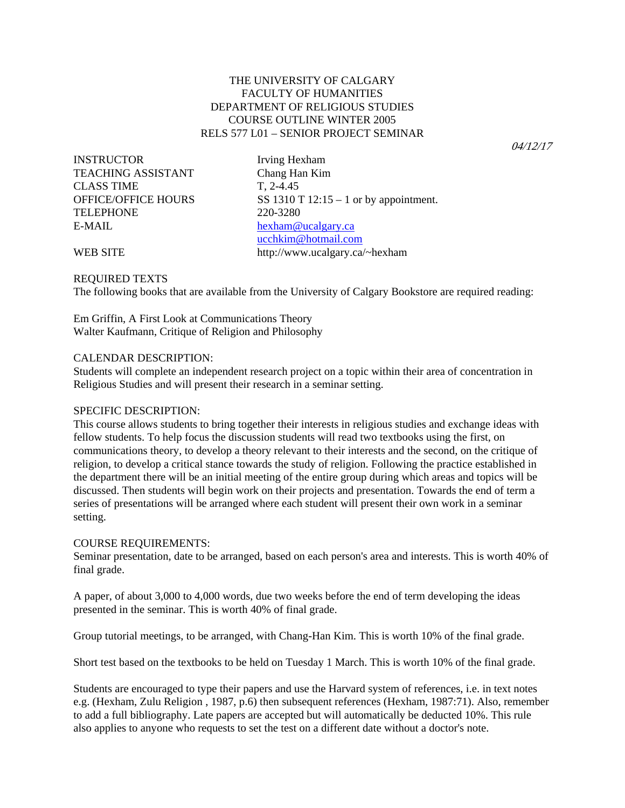# THE UNIVERSITY OF CALGARY FACULTY OF HUMANITIES DEPARTMENT OF RELIGIOUS STUDIES COURSE OUTLINE WINTER 2005 RELS 577 L01 – SENIOR PROJECT SEMINAR

04/12/17

INSTRUCTOR Irving Hexham TEACHING ASSISTANT Chang Han Kim CLASS TIME T, 2-4.45 TELEPHONE 220-3280 E-MAIL hexham@ucalgary.ca

OFFICE/OFFICE HOURS SS 1310 T 12:15 - 1 or by appointment. ucchkim@hotmail.com WEB SITE http://www.ucalgary.ca/~hexham

#### REQUIRED TEXTS

The following books that are available from the University of Calgary Bookstore are required reading:

Em Griffin, A First Look at Communications Theory Walter Kaufmann, Critique of Religion and Philosophy

#### CALENDAR DESCRIPTION:

Students will complete an independent research project on a topic within their area of concentration in Religious Studies and will present their research in a seminar setting.

#### SPECIFIC DESCRIPTION:

This course allows students to bring together their interests in religious studies and exchange ideas with fellow students. To help focus the discussion students will read two textbooks using the first, on communications theory, to develop a theory relevant to their interests and the second, on the critique of religion, to develop a critical stance towards the study of religion. Following the practice established in the department there will be an initial meeting of the entire group during which areas and topics will be discussed. Then students will begin work on their projects and presentation. Towards the end of term a series of presentations will be arranged where each student will present their own work in a seminar setting.

#### COURSE REQUIREMENTS:

Seminar presentation, date to be arranged, based on each person's area and interests. This is worth 40% of final grade.

A paper, of about 3,000 to 4,000 words, due two weeks before the end of term developing the ideas presented in the seminar. This is worth 40% of final grade.

Group tutorial meetings, to be arranged, with Chang-Han Kim. This is worth 10% of the final grade.

Short test based on the textbooks to be held on Tuesday 1 March. This is worth 10% of the final grade.

Students are encouraged to type their papers and use the Harvard system of references, i.e. in text notes e.g. (Hexham, Zulu Religion , 1987, p.6) then subsequent references (Hexham, 1987:71). Also, remember to add a full bibliography. Late papers are accepted but will automatically be deducted 10%. This rule also applies to anyone who requests to set the test on a different date without a doctor's note.